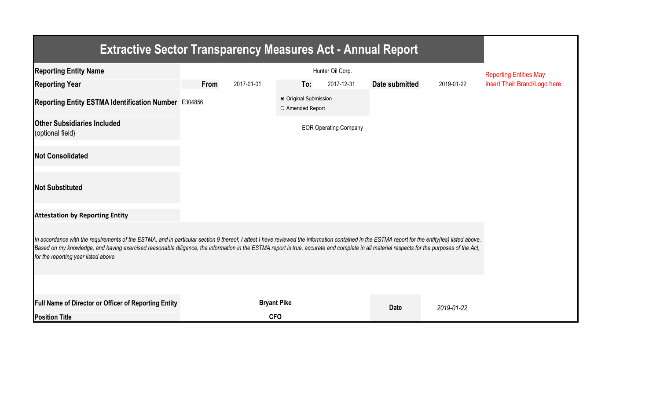| <b>Extractive Sector Transparency Measures Act - Annual Report</b>                                                                                                                                                                                                                                                                                                                                                                    |      |                               |                                           |                              |                |            |                              |  |  |  |
|---------------------------------------------------------------------------------------------------------------------------------------------------------------------------------------------------------------------------------------------------------------------------------------------------------------------------------------------------------------------------------------------------------------------------------------|------|-------------------------------|-------------------------------------------|------------------------------|----------------|------------|------------------------------|--|--|--|
| <b>Reporting Entity Name</b>                                                                                                                                                                                                                                                                                                                                                                                                          |      | <b>Reporting Entities May</b> |                                           |                              |                |            |                              |  |  |  |
| <b>Reporting Year</b>                                                                                                                                                                                                                                                                                                                                                                                                                 | From | 2017-01-01                    | To:                                       | 2017-12-31                   | Date submitted | 2019-01-22 | Insert Their Brand/Logo here |  |  |  |
| Reporting Entity ESTMA Identification Number E304856                                                                                                                                                                                                                                                                                                                                                                                  |      |                               | ● Original Submission<br>O Amended Report |                              |                |            |                              |  |  |  |
| <b>Other Subsidiaries Included</b><br>(optional field)                                                                                                                                                                                                                                                                                                                                                                                |      |                               |                                           | <b>EOR Operating Company</b> |                |            |                              |  |  |  |
| <b>Not Consolidated</b>                                                                                                                                                                                                                                                                                                                                                                                                               |      |                               |                                           |                              |                |            |                              |  |  |  |
| <b>Not Substituted</b>                                                                                                                                                                                                                                                                                                                                                                                                                |      |                               |                                           |                              |                |            |                              |  |  |  |
| <b>Attestation by Reporting Entity</b>                                                                                                                                                                                                                                                                                                                                                                                                |      |                               |                                           |                              |                |            |                              |  |  |  |
| In accordance with the requirements of the ESTMA, and in particular section 9 thereof, I attest I have reviewed the information contained in the ESTMA report for the entity(ies) listed above.<br>Based on my knowledge, and having exercised reasonable diligence, the information in the ESTMA report is true, accurate and complete in all material respects for the purposes of the Act,<br>for the reporting year listed above. |      |                               |                                           |                              |                |            |                              |  |  |  |
|                                                                                                                                                                                                                                                                                                                                                                                                                                       |      |                               |                                           |                              |                |            |                              |  |  |  |
| Full Name of Director or Officer of Reporting Entity                                                                                                                                                                                                                                                                                                                                                                                  |      |                               | <b>Bryant Pike</b>                        |                              | <b>Date</b>    | 2019-01-22 |                              |  |  |  |
| <b>Position Title</b>                                                                                                                                                                                                                                                                                                                                                                                                                 |      | <b>CFO</b>                    |                                           |                              |                |            |                              |  |  |  |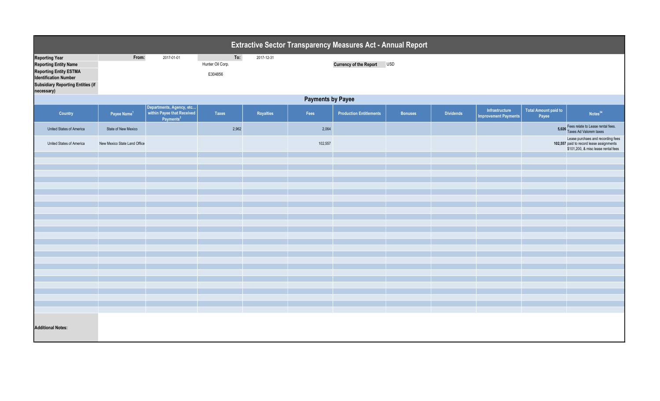| Extractive Sector Transparency Measures Act - Annual Report                                                                                                                      |                              |                                                                                 |                                    |            |         |                                |                |                  |                                               |                                      |                                                                                                                      |  |
|----------------------------------------------------------------------------------------------------------------------------------------------------------------------------------|------------------------------|---------------------------------------------------------------------------------|------------------------------------|------------|---------|--------------------------------|----------------|------------------|-----------------------------------------------|--------------------------------------|----------------------------------------------------------------------------------------------------------------------|--|
| <b>Reporting Year</b><br><b>Reporting Entity Name</b><br><b>Reporting Entity ESTMA</b><br><b>Identification Number</b><br><b>Subsidiary Reporting Entities (if</b><br>necessary) | From:                        | 2017-01-01                                                                      | To:<br>Hunter Oil Corp.<br>E304856 | 2017-12-31 |         | <b>Currency of the Report</b>  | <b>USD</b>     |                  |                                               |                                      |                                                                                                                      |  |
|                                                                                                                                                                                  | <b>Payments by Payee</b>     |                                                                                 |                                    |            |         |                                |                |                  |                                               |                                      |                                                                                                                      |  |
| Country                                                                                                                                                                          | Payee Name <sup>1</sup>      | Departments, Agency, etc<br>within Payee that Received<br>Payments <sup>2</sup> | <b>Taxes</b>                       | Royalties  | Fees    | <b>Production Entitlements</b> | <b>Bonuses</b> | <b>Dividends</b> | Infrastructure<br><b>Improvement Payments</b> | <b>Total Amount paid to</b><br>Payee | Notes <sup>34</sup>                                                                                                  |  |
| United States of America                                                                                                                                                         | State of New Mexico          |                                                                                 | 2,962                              |            | 2,064   |                                |                |                  |                                               |                                      | 5,026 Fees relate to Lease rental fees.<br>Taxes Ad Valorem taxes                                                    |  |
| United States of America                                                                                                                                                         | New Mexico State Land Office |                                                                                 |                                    |            | 102,557 |                                |                |                  |                                               |                                      | Lease purchaes and recording fees<br>102,557 paid to record lease assignments<br>\$101,200, & misc lease rental fees |  |
|                                                                                                                                                                                  |                              |                                                                                 |                                    |            |         |                                |                |                  |                                               |                                      |                                                                                                                      |  |
|                                                                                                                                                                                  |                              |                                                                                 |                                    |            |         |                                |                |                  |                                               |                                      |                                                                                                                      |  |
|                                                                                                                                                                                  |                              |                                                                                 |                                    |            |         |                                |                |                  |                                               |                                      |                                                                                                                      |  |
|                                                                                                                                                                                  |                              |                                                                                 |                                    |            |         |                                |                |                  |                                               |                                      |                                                                                                                      |  |
|                                                                                                                                                                                  |                              |                                                                                 |                                    |            |         |                                |                |                  |                                               |                                      |                                                                                                                      |  |
|                                                                                                                                                                                  |                              |                                                                                 |                                    |            |         |                                |                |                  |                                               |                                      |                                                                                                                      |  |
|                                                                                                                                                                                  |                              |                                                                                 |                                    |            |         |                                |                |                  |                                               |                                      |                                                                                                                      |  |
|                                                                                                                                                                                  |                              |                                                                                 |                                    |            |         |                                |                |                  |                                               |                                      |                                                                                                                      |  |
|                                                                                                                                                                                  |                              |                                                                                 |                                    |            |         |                                |                |                  |                                               |                                      |                                                                                                                      |  |
|                                                                                                                                                                                  |                              |                                                                                 |                                    |            |         |                                |                |                  |                                               |                                      |                                                                                                                      |  |
|                                                                                                                                                                                  |                              |                                                                                 |                                    |            |         |                                |                |                  |                                               |                                      |                                                                                                                      |  |
|                                                                                                                                                                                  |                              |                                                                                 |                                    |            |         |                                |                |                  |                                               |                                      |                                                                                                                      |  |
|                                                                                                                                                                                  |                              |                                                                                 |                                    |            |         |                                |                |                  |                                               |                                      |                                                                                                                      |  |
|                                                                                                                                                                                  |                              |                                                                                 |                                    |            |         |                                |                |                  |                                               |                                      |                                                                                                                      |  |
|                                                                                                                                                                                  |                              |                                                                                 |                                    |            |         |                                |                |                  |                                               |                                      |                                                                                                                      |  |
|                                                                                                                                                                                  |                              |                                                                                 |                                    |            |         |                                |                |                  |                                               |                                      |                                                                                                                      |  |
|                                                                                                                                                                                  |                              |                                                                                 |                                    |            |         |                                |                |                  |                                               |                                      |                                                                                                                      |  |
|                                                                                                                                                                                  |                              |                                                                                 |                                    |            |         |                                |                |                  |                                               |                                      |                                                                                                                      |  |
| <b>Additional Notes:</b>                                                                                                                                                         |                              |                                                                                 |                                    |            |         |                                |                |                  |                                               |                                      |                                                                                                                      |  |